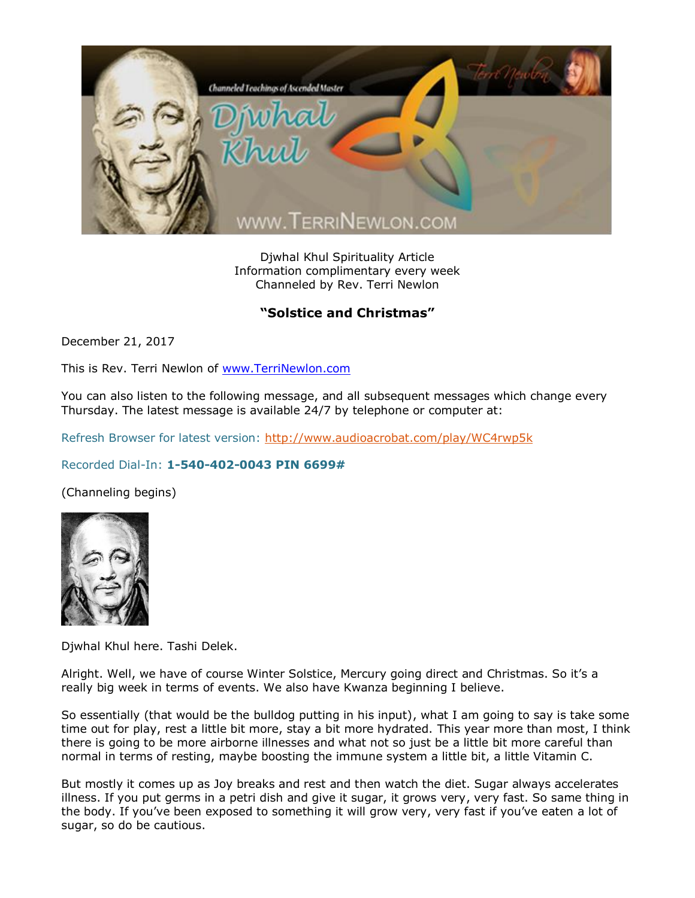

Djwhal Khul Spirituality Article Information complimentary every week Channeled by Rev. Terri Newlon

## "Solstice and Christmas"

December 21, 2017

This is Rev. Terri Newlon of [www.TerriNewlon.com](http://www.terrinewlon.com/)

You can also listen to the following message, and all subsequent messages which change every Thursday. The latest message is available 24/7 by telephone or computer at:

Refresh Browser for latest version:<http://www.audioacrobat.com/play/WC4rwp5k>

## Recorded Dial-In: **1-540-402-0043 PIN 6699#**

(Channeling begins)



Djwhal Khul here. Tashi Delek.

Alright. Well, we have of course Winter Solstice, Mercury going direct and Christmas. So it's a really big week in terms of events. We also have Kwanza beginning I believe.

So essentially (that would be the bulldog putting in his input), what I am going to say is take some time out for play, rest a little bit more, stay a bit more hydrated. This year more than most, I think there is going to be more airborne illnesses and what not so just be a little bit more careful than normal in terms of resting, maybe boosting the immune system a little bit, a little Vitamin C.

But mostly it comes up as Joy breaks and rest and then watch the diet. Sugar always accelerates illness. If you put germs in a petri dish and give it sugar, it grows very, very fast. So same thing in the body. If you've been exposed to something it will grow very, very fast if you've eaten a lot of sugar, so do be cautious.